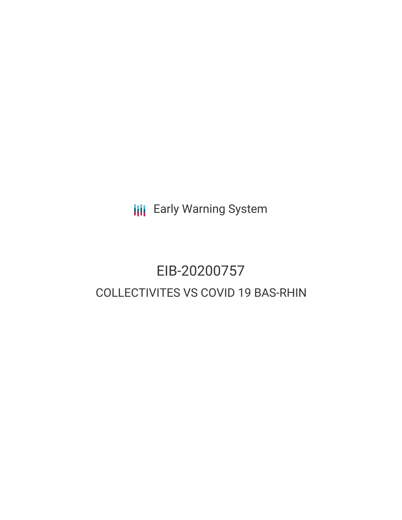**III** Early Warning System

# EIB-20200757 COLLECTIVITES VS COVID 19 BAS-RHIN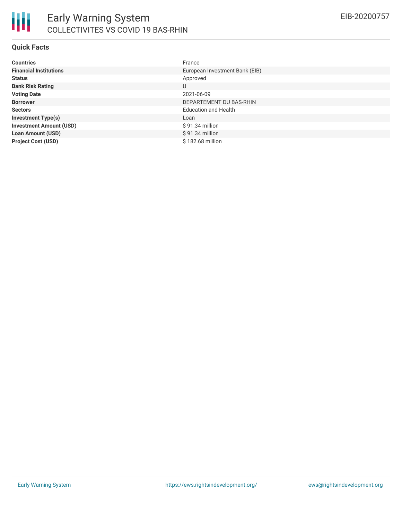

#### **Quick Facts**

| <b>Countries</b>               | France                         |
|--------------------------------|--------------------------------|
| <b>Financial Institutions</b>  | European Investment Bank (EIB) |
| <b>Status</b>                  | Approved                       |
| <b>Bank Risk Rating</b>        | U                              |
| <b>Voting Date</b>             | 2021-06-09                     |
| <b>Borrower</b>                | DEPARTEMENT DU BAS-RHIN        |
| <b>Sectors</b>                 | <b>Education and Health</b>    |
| <b>Investment Type(s)</b>      | Loan                           |
| <b>Investment Amount (USD)</b> | $$91.34$ million               |
| <b>Loan Amount (USD)</b>       | $$91.34$ million               |
| <b>Project Cost (USD)</b>      | $$182.68$ million              |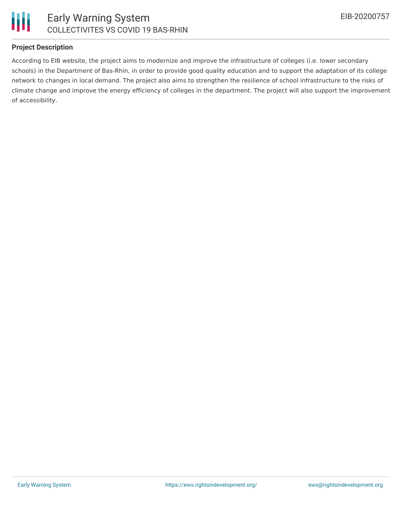

# **Project Description**

According to EIB website, the project aims to modernize and improve the infrastructure of colleges (i.e. lower secondary schools) in the Department of Bas-Rhin, in order to provide good quality education and to support the adaptation of its college network to changes in local demand. The project also aims to strengthen the resilience of school infrastructure to the risks of climate change and improve the energy efficiency of colleges in the department. The project will also support the improvement of accessibility.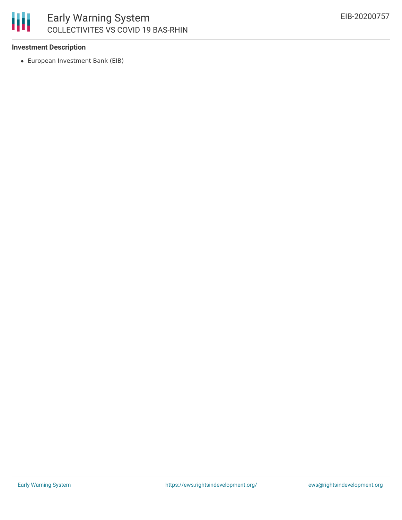# 冊 Early Warning System COLLECTIVITES VS COVID 19 BAS-RHIN

# **Investment Description**

European Investment Bank (EIB)